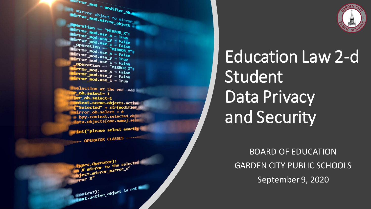$mirror_mod = modifier_ob_m$ mirror object to mirror The object to mirror<br>The mod.mirror\_object<br>Peration  $\begin{array}{rcl} \textbf{Peration} & = & \textbf{MIRROR} \\ \textbf{Irror\_mod} & = & \textbf{MIRROR} \\ \textbf{Irror\_mod} & \textbf{use} & x = & \textbf{X} \end{array}$ **Example:**<br> **Example:** The Trip Control Use X<br> **Example:** The Trip Control Use V<br> **Example: The View View Control** Use V The mod.use x = True<br>The mod.use y = True<br>The mod.use y = False<br>Openat.use z = False The Thod.use y = True<br> **The Thod.use 2 = False**<br> **Operation == "MTBDAGG" Solution Service**<br>Deperation == "MIRROR\_Y"<br>"Irror\_mod.use x - F. **Example 14 Clon == "MIRROR Y"**<br>"IFFOR\_mod.use\_x = False"<br>"IFFOR\_mod.use\_x = False"  $\frac{1000 \cdot 45e}{1}x = \frac{100}{100} \cdot \frac{1}{100}x = \frac{1}{100} \cdot \frac{1}{100}x = \frac{1}{100} \cdot \frac{1}{100} \cdot \frac{1}{100}x = \frac{1}{100} \cdot \frac{1}{100} \cdot \frac{1}{100} \cdot \frac{1}{100} \cdot \frac{1}{100} \cdot \frac{1}{100} \cdot \frac{1}{100} \cdot \frac{1}{100} \cdot \frac{1}{100} \cdot \frac{1}{100} \cdot \frac{1}{100} \cdot \frac$  $\frac{1000 \cdot 0.05}{1000 \cdot 0.05} = \frac{1000 \cdot 0.05}{1000 \cdot 0.05} = \frac{1000 \cdot 0.05}{1000 \cdot 0.05}$ Operation == "MIRROR\_Z"<br>**APPERATION == "MIRROR\_Z"**  $\frac{1}{1}$ Pror\_mod.use\_x = False  $\frac{1}{1}$ Pror\_mod.use\_ $x = False$ 

**Selection at the end -add**  $$ er ob.select=1 ntext.scene.objects.activ "Selected" + str(modifier **Propr** ob. select =  $\theta$ bpy.context.selected\_ob ata.objects[one.name].se

int("please select exactly

OPERATOR CLASSES ----

es.Operator):<br>to the e*s.Operator*);<br>; mirror to the selecter ;<br>; mirror mirror\_x" X mirror to the<br>ject.mirror\_mirror\_x"

 $\frac{intext}{extcdot}$  active object is not



Education Law 2-d Student Data Privacy and Security

BOARD OF EDUCATION GARDEN CITY PUBLIC SCHOOLS September 9, 2020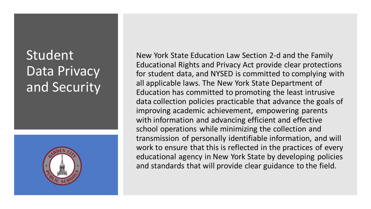## Student Data Privacy and Security



New York State Education Law Section 2-d and the Family Educational Rights and Privacy Act provide clear protections for student data, and NYSED is committed to complying with all applicable laws. The New York State Department of Education has committed to promoting the least intrusive data collection policies practicable that advance the goals of improving academic achievement, empowering parents with information and advancing efficient and effective school operations while minimizing the collection and transmission of personally identifiable information, and will work to ensure that this is reflected in the practices of every educational agency in New York State by developing policies and standards that will provide clear guidance to the field.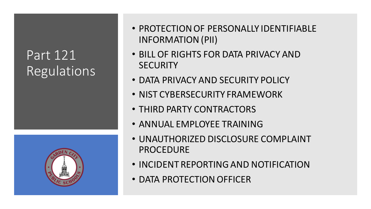## Part 121 Regulations



- PROTECTION OF PERSONALLY IDENTIFIABLE INFORMATION (PII)
- BILL OF RIGHTS FOR DATA PRIVACY AND **SECURITY**
- DATA PRIVACY AND SECURITY POLICY
- NIST CYBERSECURITY FRAMEWORK
- THIRD PARTY CONTRACTORS
- ANNUAL EMPLOYEE TRAINING
- UNAUTHORIZED DISCLOSURE COMPLAINT PROCEDURE
- INCIDENT REPORTING AND NOTIFICATION
- DATA PROTECTION OFFICER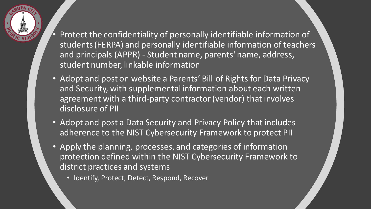- 
- Protect the confidentiality of personally identifiable information of students (FERPA) and personally identifiable information of teachers and principals (APPR) - Student name, parents' name, address, student number, linkable information
- Adopt and post on website a Parents' Bill of Rights for Data Privacy and Security, with supplemental information about each written agreement with a third-party contractor (vendor) that involves disclosure of PII
- Adopt and post a Data Security and Privacy Policy that includes adherence to the NIST Cybersecurity Framework to protect PII
- Apply the planning, processes, and categories of information protection defined within the NIST Cybersecurity Framework to district practices and systems
	- Identify, Protect, Detect, Respond, Recover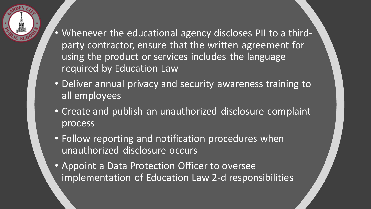- Whenever the educational agency discloses PII to a thirdparty contractor, ensure that the written agreement for using the product or services includes the language required by Education Law
- Deliver annual privacy and security awareness training to all employees
- Create and publish an unauthorized disclosure complaint process
- Follow reporting and notification procedures when unauthorized disclosure occurs
- Appoint a Data Protection Officer to oversee implementation of Education Law 2-d responsibilities